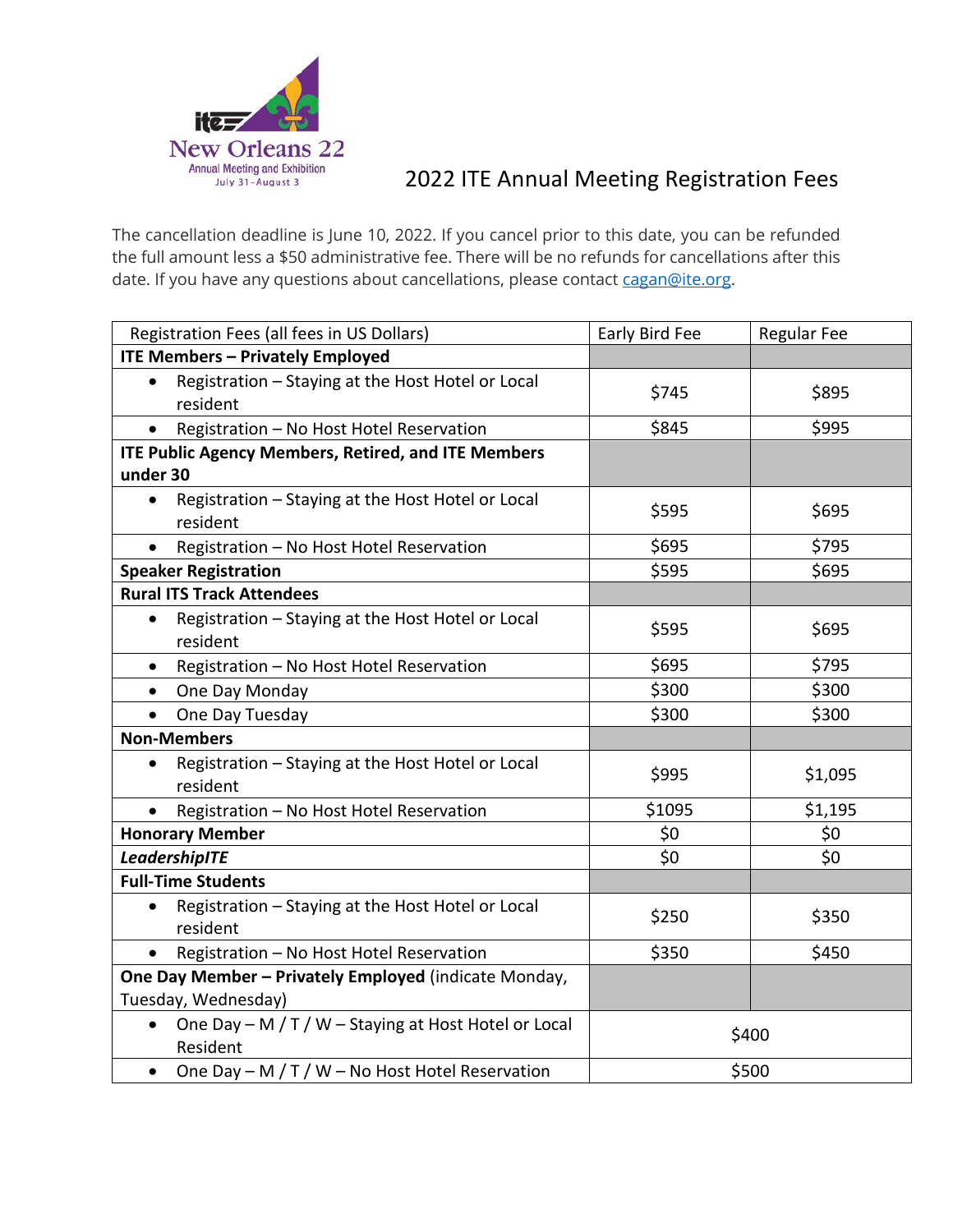

## 2022 ITE Annual Meeting Registration Fees

The cancellation deadline is June 10, 2022. If you cancel prior to this date, you can be refunded the full amount less a \$50 administrative fee. There will be no refunds for cancellations after this date. If you have any questions about cancellations, please contact [cagan@ite.org.](mailto:cagan@ite.org)

| Registration Fees (all fees in US Dollars)                                    | Early Bird Fee | <b>Regular Fee</b> |
|-------------------------------------------------------------------------------|----------------|--------------------|
| <b>ITE Members - Privately Employed</b>                                       |                |                    |
| Registration - Staying at the Host Hotel or Local<br>$\bullet$<br>resident    | \$745          | \$895              |
| Registration - No Host Hotel Reservation<br>$\bullet$                         | \$845          | \$995              |
| <b>ITE Public Agency Members, Retired, and ITE Members</b>                    |                |                    |
| under 30                                                                      |                |                    |
| Registration - Staying at the Host Hotel or Local<br>$\bullet$<br>resident    | \$595          | \$695              |
| Registration - No Host Hotel Reservation                                      | \$695          | \$795              |
| <b>Speaker Registration</b>                                                   | \$595          | \$695              |
| <b>Rural ITS Track Attendees</b>                                              |                |                    |
| Registration - Staying at the Host Hotel or Local<br>$\bullet$<br>resident    | \$595          | \$695              |
| Registration - No Host Hotel Reservation                                      | \$695          | \$795              |
| One Day Monday<br>$\bullet$                                                   | \$300          | \$300              |
| One Day Tuesday<br>$\bullet$                                                  | \$300          | \$300              |
| <b>Non-Members</b>                                                            |                |                    |
| Registration - Staying at the Host Hotel or Local<br>$\bullet$<br>resident    | \$995          | \$1,095            |
| Registration - No Host Hotel Reservation                                      | \$1095         | \$1,195            |
| <b>Honorary Member</b>                                                        | \$0            | \$0                |
| LeadershipITE                                                                 | \$0            | \$0                |
| <b>Full-Time Students</b>                                                     |                |                    |
| Registration - Staying at the Host Hotel or Local<br>$\bullet$<br>resident    | \$250          | \$350              |
| Registration - No Host Hotel Reservation<br>$\bullet$                         | \$350          | \$450              |
| One Day Member - Privately Employed (indicate Monday,<br>Tuesday, Wednesday)  |                |                    |
| One Day - M / T / W - Staying at Host Hotel or Local<br>$\bullet$<br>Resident | \$400          |                    |
| One Day - M / T / W - No Host Hotel Reservation                               | \$500          |                    |